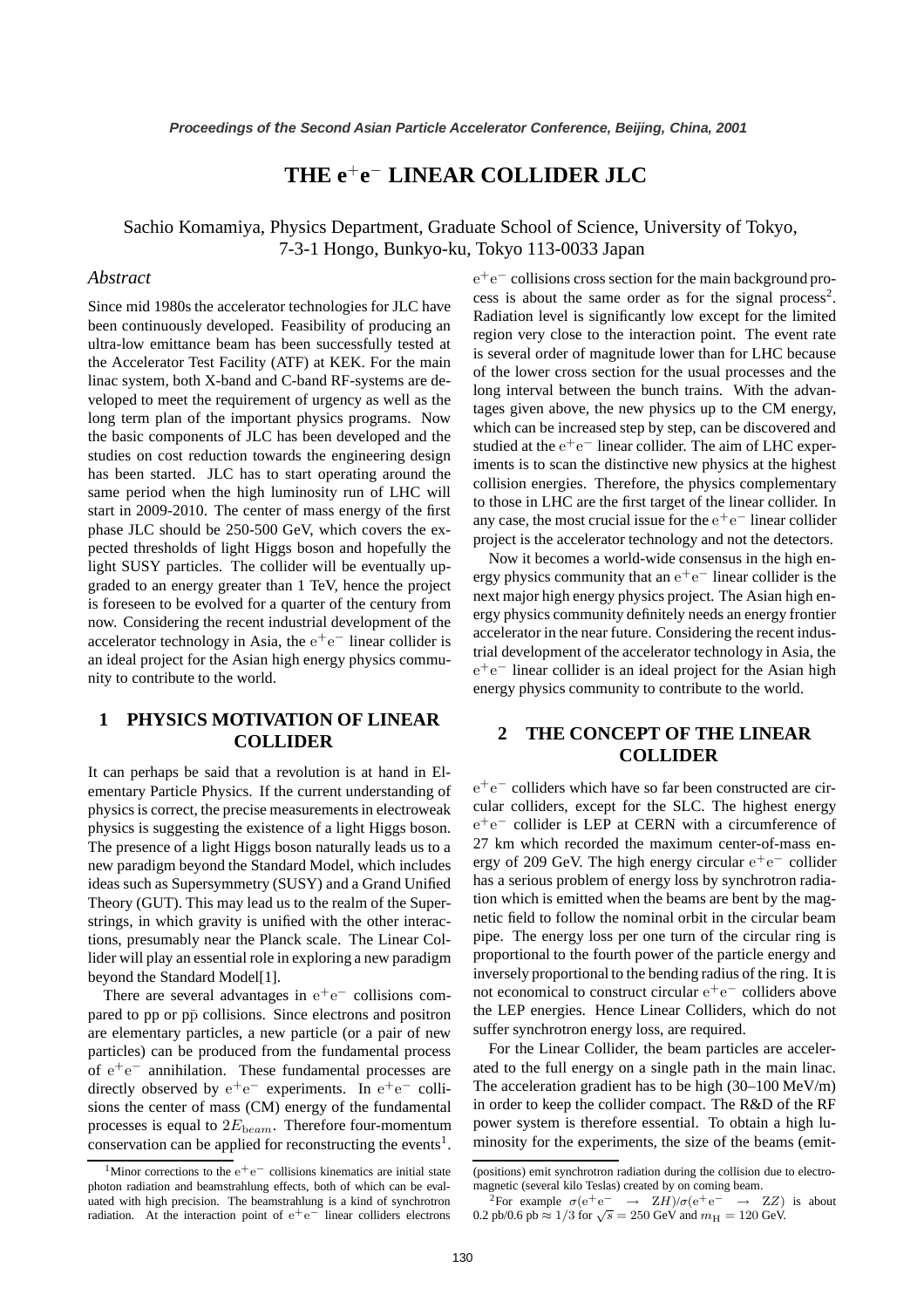# **THE e**<sup>+</sup>**e**<sup>−</sup> **LINEAR COLLIDER JLC**

Sachio Komamiya, Physics Department, Graduate School of Science, University of Tokyo, 7-3-1 Hongo, Bunkyo-ku, Tokyo 113-0033 Japan

#### *Abstract*

Since mid 1980s the accelerator technologies for JLC have been continuously developed. Feasibility of producing an ultra-low emittance beam has been successfully tested at the Accelerator Test Facility (ATF) at KEK. For the main linac system, both X-band and C-band RF-systems are developed to meet the requirement of urgency as well as the long term plan of the important physics programs. Now the basic components of JLC has been developed and the studies on cost reduction towards the engineering design has been started. JLC has to start operating around the same period when the high luminosity run of LHC will start in 2009-2010. The center of mass energy of the first phase JLC should be 250-500 GeV, which covers the expected thresholds of light Higgs boson and hopefully the light SUSY particles. The collider will be eventually upgraded to an energy greater than 1 TeV, hence the project is foreseen to be evolved for a quarter of the century from now. Considering the recent industrial development of the accelerator technology in Asia, the  $e^+e^-$  linear collider is an ideal project for the Asian high energy physics community to contribute to the world.

## **1 PHYSICS MOTIVATION OF LINEAR COLLIDER**

It can perhaps be said that a revolution is at hand in Elementary Particle Physics. If the current understanding of physics is correct, the precise measurements in electroweak physics is suggesting the existence of a light Higgs boson. The presence of a light Higgs boson naturally leads us to a new paradigm beyond the Standard Model, which includes ideas such as Supersymmetry (SUSY) and a Grand Unified Theory (GUT). This may lead us to the realm of the Superstrings, in which gravity is unified with the other interactions, presumably near the Planck scale. The Linear Collider will play an essential role in exploring a new paradigm beyond the Standard Model[1].

There are several advantages in  $e^+e^-$  collisions compared to pp or pp̄ collisions. Since electrons and positron are elementary particles, a new particle (or a pair of new particles) can be produced from the fundamental process  $\overline{\text{of } \text{e}^+ \text{e}^-}$  annihilation. These fundamental processes are directly observed by  $e^+e^-$  experiments. In  $e^+e^-$  collisions the center of mass (CM) energy of the fundamental processes is equal to  $2E_{beam}$ . Therefore four-momentum conservation can be applied for reconstructing the events<sup>1</sup>.

e<sup>+</sup>e<sup>−</sup> collisions cross section for the main background process is about the same order as for the signal process<sup>2</sup>. Radiation level is significantly low except for the limited region very close to the interaction point. The event rate is several order of magnitude lower than for LHC because of the lower cross section for the usual processes and the long interval between the bunch trains. With the advantages given above, the new physics up to the CM energy, which can be increased step by step, can be discovered and studied at the  $e^+e^-$  linear collider. The aim of LHC experiments is to scan the distinctive new physics at the highest collision energies. Therefore, the physics complementary to those in LHC are the first target of the linear collider. In any case, the most crucial issue for the  $e^+e^-$  linear collider project is the accelerator technology and not the detectors.

Now it becomes a world-wide consensus in the high energy physics community that an  $e^+e^-$  linear collider is the next major high energy physics project. The Asian high energy physics community definitely needs an energy frontier accelerator in the near future. Considering the recent industrial development of the accelerator technology in Asia, the e<sup>+</sup>e<sup>−</sup> linear collider is an ideal project for the Asian high energy physics community to contribute to the world.

## **2 THE CONCEPT OF THE LINEAR COLLIDER**

e<sup>+</sup>e<sup>−</sup> colliders which have so far been constructed are circular colliders, except for the SLC. The highest energy e<sup>+</sup>e<sup>−</sup> collider is LEP at CERN with a circumference of 27 km which recorded the maximum center-of-mass energy of 209 GeV. The high energy circular  $e^+e^-$  collider has a serious problem of energy loss by synchrotron radiation which is emitted when the beams are bent by the magnetic field to follow the nominal orbit in the circular beam pipe. The energy loss per one turn of the circular ring is proportional to the fourth power of the particle energy and inversely proportional to the bending radius of the ring. It is not economical to construct circular  $e^+e^-$  colliders above the LEP energies. Hence Linear Colliders, which do not suffer synchrotron energy loss, are required.

For the Linear Collider, the beam particles are accelerated to the full energy on a single path in the main linac. The acceleration gradient has to be high (30–100 MeV/m) in order to keep the collider compact. The R&D of the RF power system is therefore essential. To obtain a high luminosity for the experiments, the size of the beams (emit-

<sup>&</sup>lt;sup>1</sup>Minor corrections to the  $e^+e^-$  collisions kinematics are initial state photon radiation and beamstrahlung effects, both of which can be evaluated with high precision. The beamstrahlung is a kind of synchrotron radiation. At the interaction point of  $e^+e^-$  linear colliders electrons

<sup>(</sup>positions) emit synchrotron radiation during the collision due to electromagnetic (several kilo Teslas) created by on coming beam.

Profile  $\sigma(e^+e^- \rightarrow ZH)/\sigma(e^+e^- \rightarrow ZZ)$  is about 0.2 pb/0.6 pb  $\approx 1/3$  for  $\sqrt{s} = 250$  GeV and  $m_H = 120$  GeV.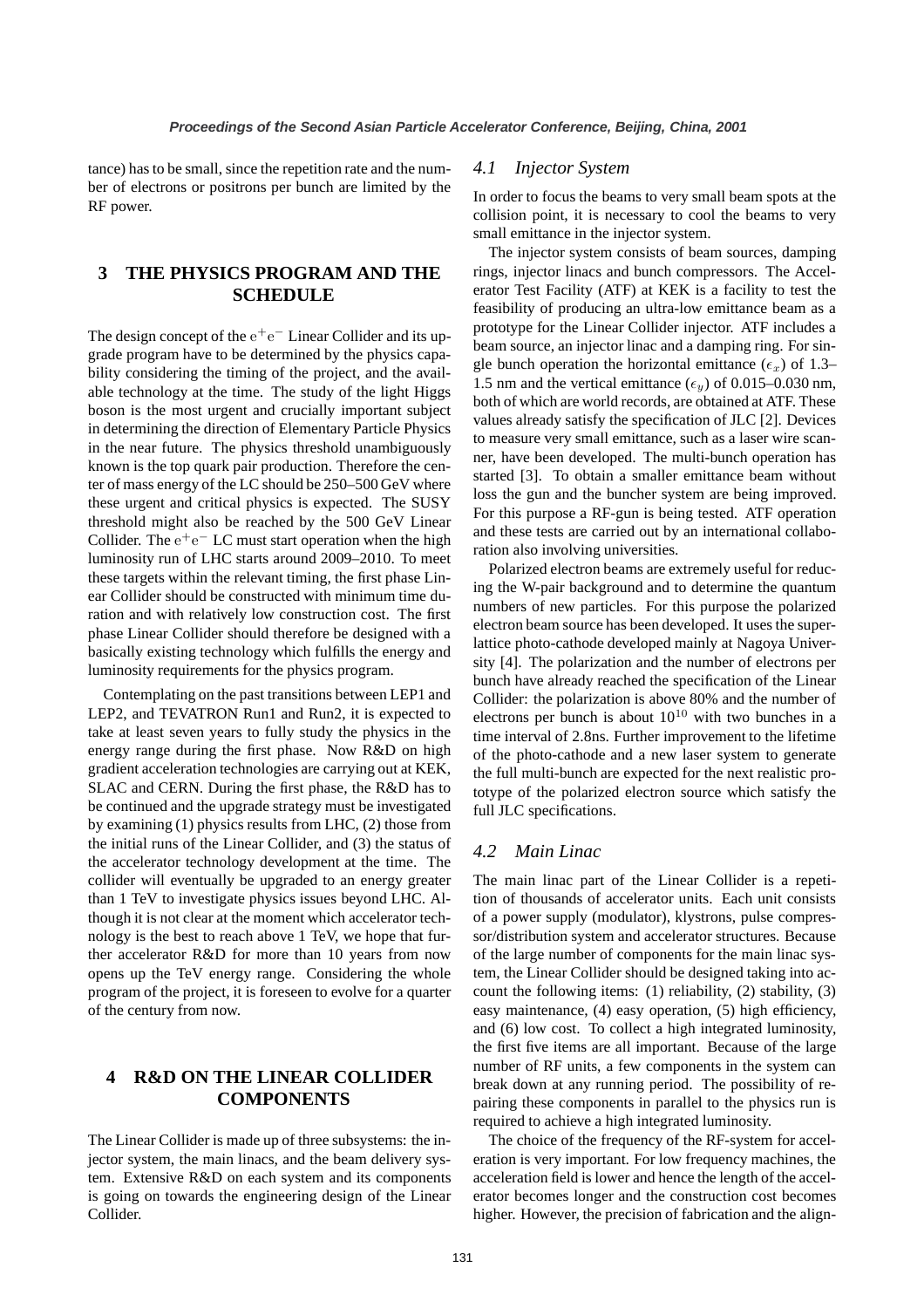tance) has to be small, since the repetition rate and the number of electrons or positrons per bunch are limited by the RF power.

## **3 THE PHYSICS PROGRAM AND THE SCHEDULE**

The design concept of the  $e^+e^-$  Linear Collider and its upgrade program have to be determined by the physics capability considering the timing of the project, and the available technology at the time. The study of the light Higgs boson is the most urgent and crucially important subject in determining the direction of Elementary Particle Physics in the near future. The physics threshold unambiguously known is the top quark pair production. Therefore the center of mass energy of the LC should be 250–500 GeV where these urgent and critical physics is expected. The SUSY threshold might also be reached by the 500 GeV Linear Collider. The  $e^+e^-$  LC must start operation when the high luminosity run of LHC starts around 2009–2010. To meet these targets within the relevant timing, the first phase Linear Collider should be constructed with minimum time duration and with relatively low construction cost. The first phase Linear Collider should therefore be designed with a basically existing technology which fulfills the energy and luminosity requirements for the physics program.

Contemplating on the past transitions between LEP1 and LEP2, and TEVATRON Run1 and Run2, it is expected to take at least seven years to fully study the physics in the energy range during the first phase. Now R&D on high gradient acceleration technologies are carrying out at KEK, SLAC and CERN. During the first phase, the R&D has to be continued and the upgrade strategy must be investigated by examining (1) physics results from LHC, (2) those from the initial runs of the Linear Collider, and (3) the status of the accelerator technology development at the time. The collider will eventually be upgraded to an energy greater than 1 TeV to investigate physics issues beyond LHC. Although it is not clear at the moment which accelerator technology is the best to reach above 1 TeV, we hope that further accelerator R&D for more than 10 years from now opens up the TeV energy range. Considering the whole program of the project, it is foreseen to evolve for a quarter of the century from now.

# **4 R&D ON THE LINEAR COLLIDER COMPONENTS**

The Linear Collider is made up of three subsystems: the injector system, the main linacs, and the beam delivery system. Extensive R&D on each system and its components is going on towards the engineering design of the Linear Collider.

## *4.1 Injector System*

In order to focus the beams to very small beam spots at the collision point, it is necessary to cool the beams to very small emittance in the injector system.

The injector system consists of beam sources, damping rings, injector linacs and bunch compressors. The Accelerator Test Facility (ATF) at KEK is a facility to test the feasibility of producing an ultra-low emittance beam as a prototype for the Linear Collider injector. ATF includes a beam source, an injector linac and a damping ring. For single bunch operation the horizontal emittance  $(\epsilon_x)$  of 1.3– 1.5 nm and the vertical emittance  $(\epsilon_y)$  of 0.015–0.030 nm, both of which are world records, are obtained at ATF. These values already satisfy the specification of JLC [2]. Devices to measure very small emittance, such as a laser wire scanner, have been developed. The multi-bunch operation has started [3]. To obtain a smaller emittance beam without loss the gun and the buncher system are being improved. For this purpose a RF-gun is being tested. ATF operation and these tests are carried out by an international collaboration also involving universities.

Polarized electron beams are extremely useful for reducing the W-pair background and to determine the quantum numbers of new particles. For this purpose the polarized electron beam source has been developed. It uses the superlattice photo-cathode developed mainly at Nagoya University [4]. The polarization and the number of electrons per bunch have already reached the specification of the Linear Collider: the polarization is above 80% and the number of electrons per bunch is about  $10^{10}$  with two bunches in a time interval of 2.8ns. Further improvement to the lifetime of the photo-cathode and a new laser system to generate the full multi-bunch are expected for the next realistic prototype of the polarized electron source which satisfy the full JLC specifications.

## *4.2 Main Linac*

The main linac part of the Linear Collider is a repetition of thousands of accelerator units. Each unit consists of a power supply (modulator), klystrons, pulse compressor/distribution system and accelerator structures. Because of the large number of components for the main linac system, the Linear Collider should be designed taking into account the following items: (1) reliability, (2) stability, (3) easy maintenance, (4) easy operation, (5) high efficiency, and (6) low cost. To collect a high integrated luminosity, the first five items are all important. Because of the large number of RF units, a few components in the system can break down at any running period. The possibility of repairing these components in parallel to the physics run is required to achieve a high integrated luminosity.

The choice of the frequency of the RF-system for acceleration is very important. For low frequency machines, the acceleration field is lower and hence the length of the accelerator becomes longer and the construction cost becomes higher. However, the precision of fabrication and the align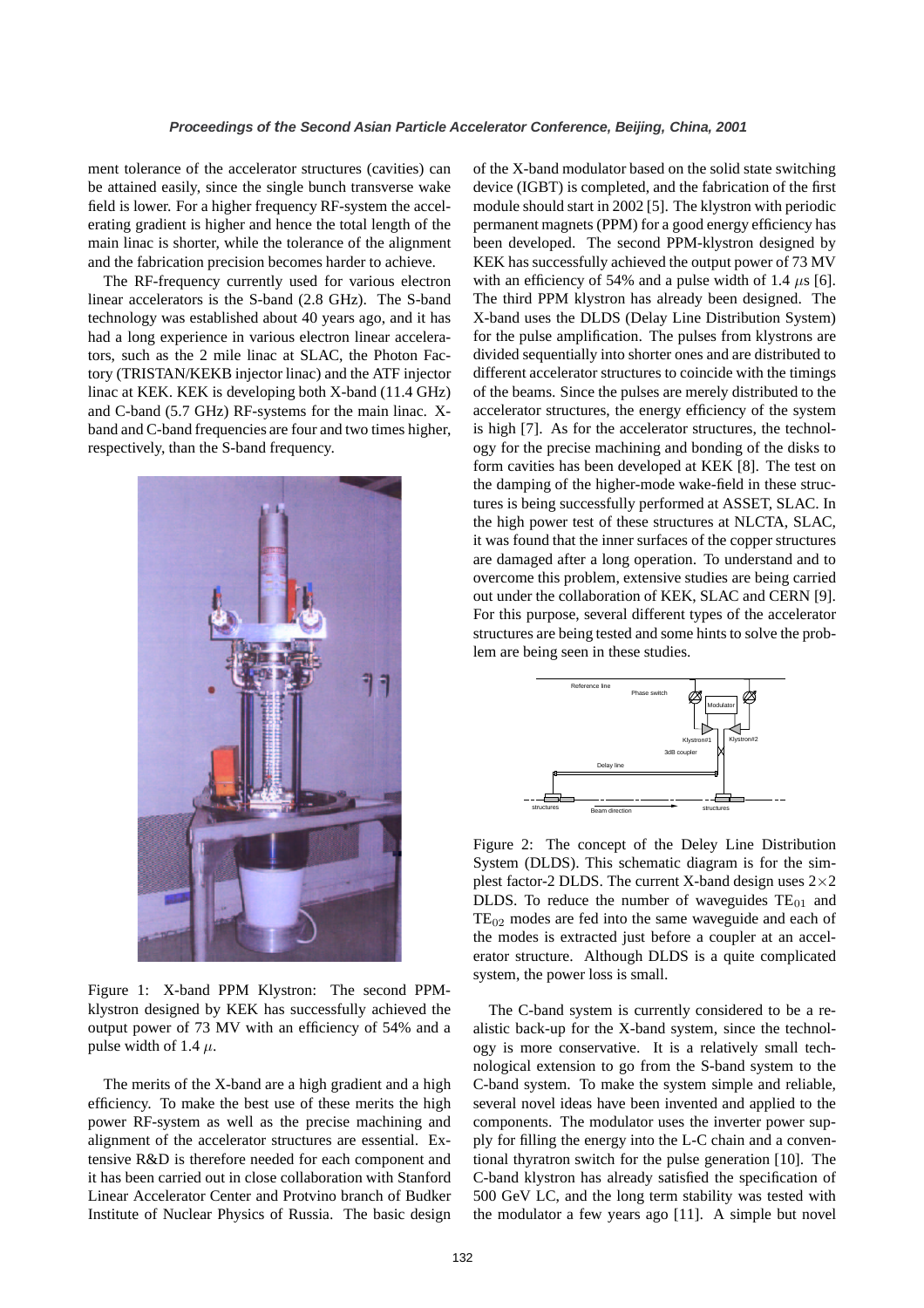ment tolerance of the accelerator structures (cavities) can be attained easily, since the single bunch transverse wake field is lower. For a higher frequency RF-system the accelerating gradient is higher and hence the total length of the main linac is shorter, while the tolerance of the alignment and the fabrication precision becomes harder to achieve.

The RF-frequency currently used for various electron linear accelerators is the S-band (2.8 GHz). The S-band technology was established about 40 years ago, and it has had a long experience in various electron linear accelerators, such as the 2 mile linac at SLAC, the Photon Factory (TRISTAN/KEKB injector linac) and the ATF injector linac at KEK. KEK is developing both X-band (11.4 GHz) and C-band (5.7 GHz) RF-systems for the main linac. Xband and C-band frequencies are four and two times higher, respectively, than the S-band frequency.



Figure 1: X-band PPM Klystron: The second PPMklystron designed by KEK has successfully achieved the output power of 73 MV with an efficiency of 54% and a pulse width of 1.4  $\mu$ .

The merits of the X-band are a high gradient and a high efficiency. To make the best use of these merits the high power RF-system as well as the precise machining and alignment of the accelerator structures are essential. Extensive R&D is therefore needed for each component and it has been carried out in close collaboration with Stanford Linear Accelerator Center and Protvino branch of Budker Institute of Nuclear Physics of Russia. The basic design of the X-band modulator based on the solid state switching device (IGBT) is completed, and the fabrication of the first module should start in 2002 [5]. The klystron with periodic permanent magnets (PPM) for a good energy efficiency has been developed. The second PPM-klystron designed by KEK has successfully achieved the output power of 73 MV with an efficiency of 54% and a pulse width of 1.4  $\mu$ s [6]. The third PPM klystron has already been designed. The X-band uses the DLDS (Delay Line Distribution System) for the pulse amplification. The pulses from klystrons are divided sequentially into shorter ones and are distributed to different accelerator structures to coincide with the timings of the beams. Since the pulses are merely distributed to the accelerator structures, the energy efficiency of the system is high [7]. As for the accelerator structures, the technology for the precise machining and bonding of the disks to form cavities has been developed at KEK [8]. The test on the damping of the higher-mode wake-field in these structures is being successfully performed at ASSET, SLAC. In the high power test of these structures at NLCTA, SLAC, it was found that the inner surfaces of the copper structures are damaged after a long operation. To understand and to overcome this problem, extensive studies are being carried out under the collaboration of KEK, SLAC and CERN [9]. For this purpose, several different types of the accelerator structures are being tested and some hints to solve the problem are being seen in these studies.



Figure 2: The concept of the Deley Line Distribution System (DLDS). This schematic diagram is for the simplest factor-2 DLDS. The current X-band design uses  $2\times2$ DLDS. To reduce the number of waveguides  $TE_{01}$  and  $TE<sub>02</sub>$  modes are fed into the same waveguide and each of the modes is extracted just before a coupler at an accelerator structure. Although DLDS is a quite complicated system, the power loss is small.

The C-band system is currently considered to be a realistic back-up for the X-band system, since the technology is more conservative. It is a relatively small technological extension to go from the S-band system to the C-band system. To make the system simple and reliable, several novel ideas have been invented and applied to the components. The modulator uses the inverter power supply for filling the energy into the L-C chain and a conventional thyratron switch for the pulse generation [10]. The C-band klystron has already satisfied the specification of 500 GeV LC, and the long term stability was tested with the modulator a few years ago [11]. A simple but novel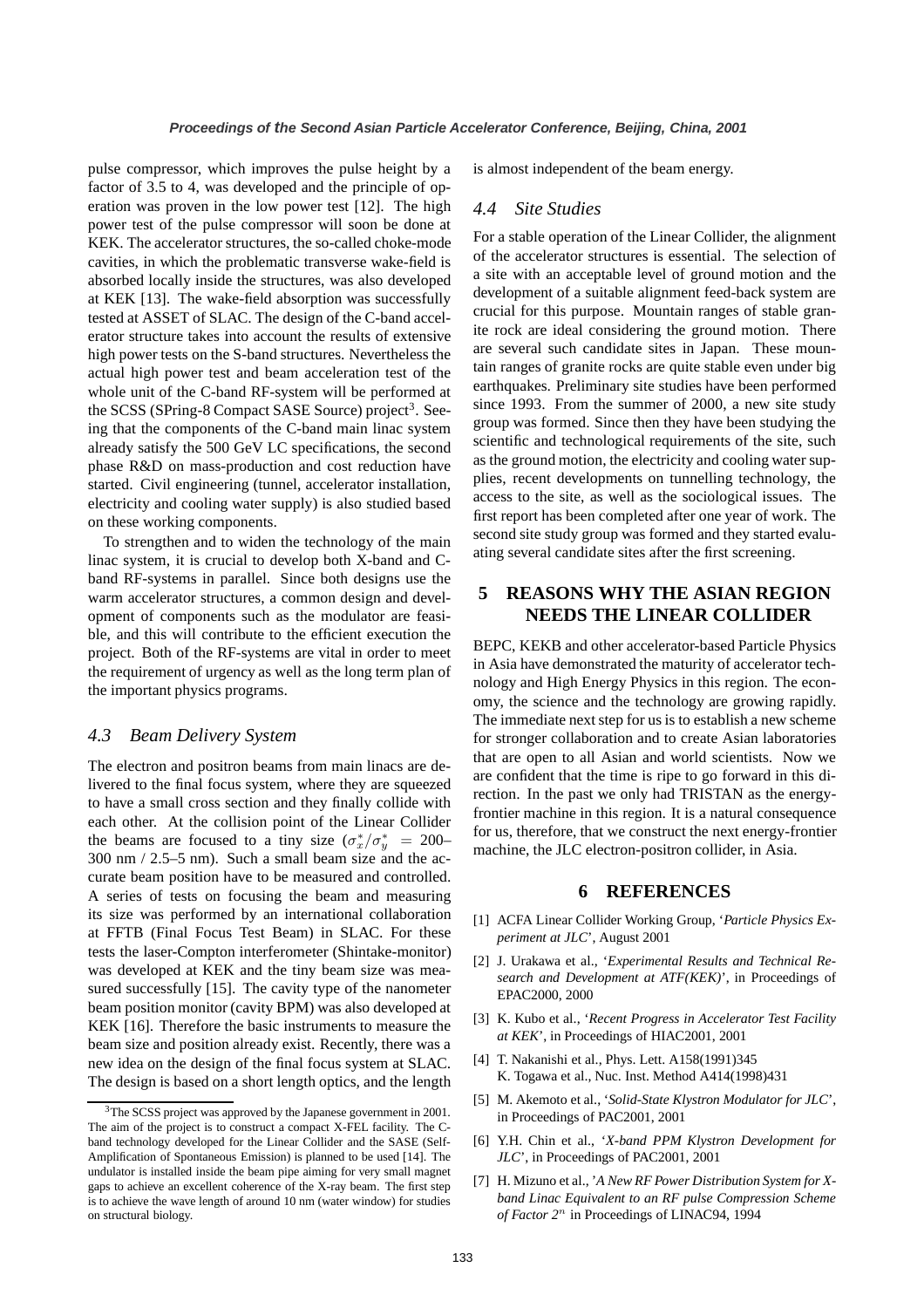pulse compressor, which improves the pulse height by a factor of 3.5 to 4, was developed and the principle of operation was proven in the low power test [12]. The high power test of the pulse compressor will soon be done at KEK. The accelerator structures, the so-called choke-mode cavities, in which the problematic transverse wake-field is absorbed locally inside the structures, was also developed at KEK [13]. The wake-field absorption was successfully tested at ASSET of SLAC. The design of the C-band accelerator structure takes into account the results of extensive high power tests on the S-band structures. Nevertheless the actual high power test and beam acceleration test of the whole unit of the C-band RF-system will be performed at the SCSS (SPring-8 Compact SASE Source) project<sup>3</sup>. Seeing that the components of the C-band main linac system already satisfy the 500 GeV LC specifications, the second phase R&D on mass-production and cost reduction have started. Civil engineering (tunnel, accelerator installation, electricity and cooling water supply) is also studied based on these working components.

To strengthen and to widen the technology of the main linac system, it is crucial to develop both X-band and Cband RF-systems in parallel. Since both designs use the warm accelerator structures, a common design and development of components such as the modulator are feasible, and this will contribute to the efficient execution the project. Both of the RF-systems are vital in order to meet the requirement of urgency as well as the long term plan of the important physics programs.

#### *4.3 Beam Delivery System*

The electron and positron beams from main linacs are delivered to the final focus system, where they are squeezed to have a small cross section and they finally collide with each other. At the collision point of the Linear Collider the beams are focused to a tiny size  $(\sigma_x^*$  $x^*/\sigma_y^* = 200-$ 300 nm / 2.5–5 nm). Such a small beam size and the accurate beam position have to be measured and controlled. A series of tests on focusing the beam and measuring its size was performed by an international collaboration at FFTB (Final Focus Test Beam) in SLAC. For these tests the laser-Compton interferometer (Shintake-monitor) was developed at KEK and the tiny beam size was measured successfully [15]. The cavity type of the nanometer beam position monitor (cavity BPM) was also developed at KEK [16]. Therefore the basic instruments to measure the beam size and position already exist. Recently, there was a new idea on the design of the final focus system at SLAC. The design is based on a short length optics, and the length

is almost independent of the beam energy.

#### *4.4 Site Studies*

For a stable operation of the Linear Collider, the alignment of the accelerator structures is essential. The selection of a site with an acceptable level of ground motion and the development of a suitable alignment feed-back system are crucial for this purpose. Mountain ranges of stable granite rock are ideal considering the ground motion. There are several such candidate sites in Japan. These mountain ranges of granite rocks are quite stable even under big earthquakes. Preliminary site studies have been performed since 1993. From the summer of 2000, a new site study group was formed. Since then they have been studying the scientific and technological requirements of the site, such as the ground motion, the electricity and cooling water supplies, recent developments on tunnelling technology, the access to the site, as well as the sociological issues. The first report has been completed after one year of work. The second site study group was formed and they started evaluating several candidate sites after the first screening.

# **5 REASONS WHY THE ASIAN REGION NEEDS THE LINEAR COLLIDER**

BEPC, KEKB and other accelerator-based Particle Physics in Asia have demonstrated the maturity of accelerator technology and High Energy Physics in this region. The economy, the science and the technology are growing rapidly. The immediate next step for us is to establish a new scheme for stronger collaboration and to create Asian laboratories that are open to all Asian and world scientists. Now we are confident that the time is ripe to go forward in this direction. In the past we only had TRISTAN as the energyfrontier machine in this region. It is a natural consequence for us, therefore, that we construct the next energy-frontier machine, the JLC electron-positron collider, in Asia.

### **6 REFERENCES**

- [1] ACFA Linear Collider Working Group, '*Particle Physics Experiment at JLC*', August 2001
- [2] J. Urakawa et al., '*Experimental Results and Technical Research and Development at ATF(KEK)*', in Proceedings of EPAC2000, 2000
- [3] K. Kubo et al., '*Recent Progress in Accelerator Test Facility at KEK*', in Proceedings of HIAC2001, 2001
- [4] T. Nakanishi et al., Phys. Lett. A158(1991)345 K. Togawa et al., Nuc. Inst. Method A414(1998)431
- [5] M. Akemoto et al., '*Solid-State Klystron Modulator for JLC*', in Proceedings of PAC2001, 2001
- [6] Y.H. Chin et al., '*X-band PPM Klystron Development for JLC*', in Proceedings of PAC2001, 2001
- [7] H. Mizuno et al., '*A New RF Power Distribution System for Xband Linac Equivalent to an RF pulse Compression Scheme of Factor 2* n in Proceedings of LINAC94, 1994

<sup>3</sup>The SCSS project was approved by the Japanese government in 2001. The aim of the project is to construct a compact X-FEL facility. The Cband technology developed for the Linear Collider and the SASE (Self-Amplification of Spontaneous Emission) is planned to be used [14]. The undulator is installed inside the beam pipe aiming for very small magnet gaps to achieve an excellent coherence of the X-ray beam. The first step is to achieve the wave length of around 10 nm (water window) for studies on structural biology.